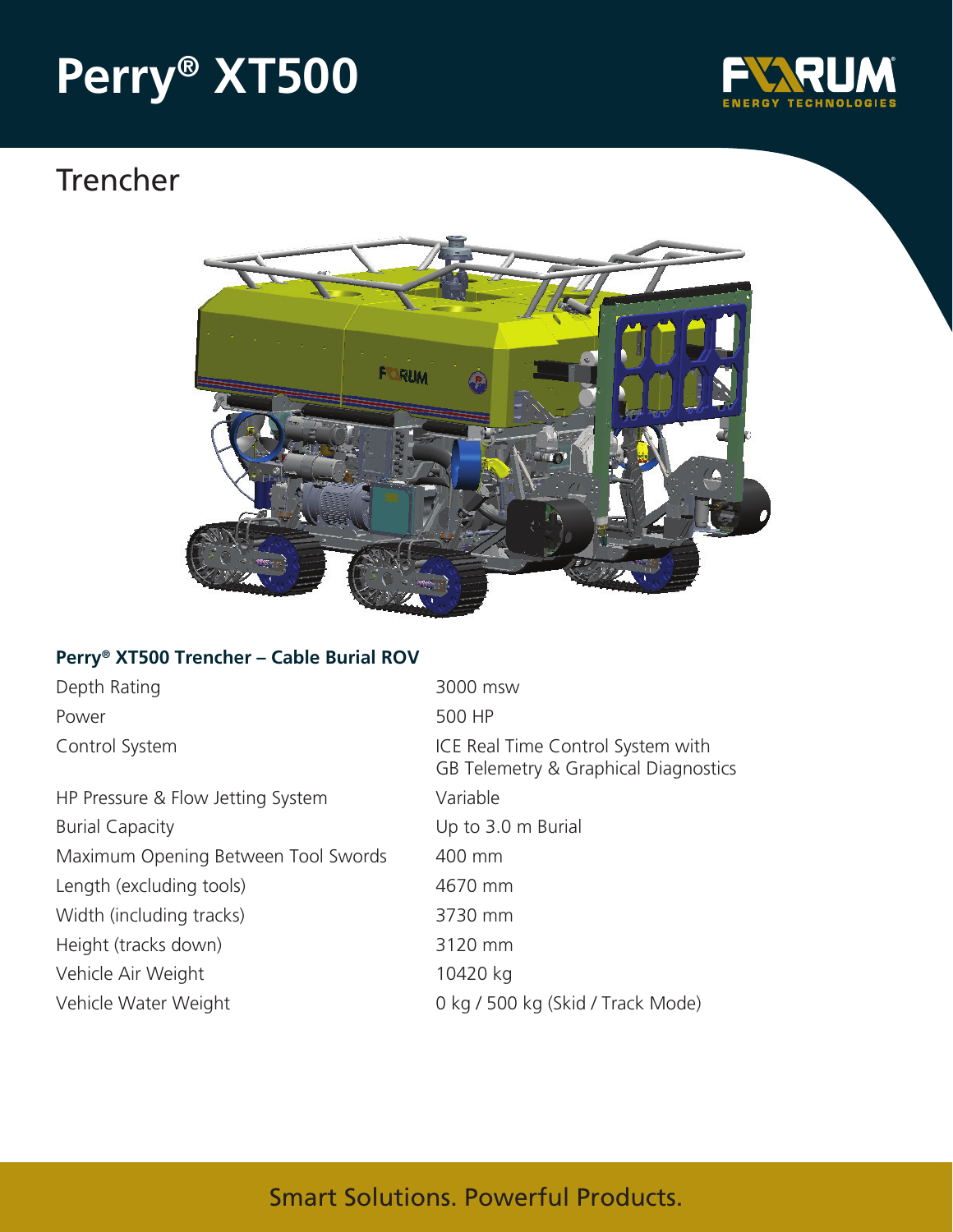# **Perry® XT500**



## Trencher



### **Perry® XT500 Trencher – Cable Burial ROV**

| Depth Rating                        | 3000 msw                                                                  |
|-------------------------------------|---------------------------------------------------------------------------|
| Power                               | 500 HP                                                                    |
| Control System                      | ICE Real Time Control System with<br>GB Telemetry & Graphical Diagnostics |
| HP Pressure & Flow Jetting System   | Variable                                                                  |
| <b>Burial Capacity</b>              | Up to 3.0 m Burial                                                        |
| Maximum Opening Between Tool Swords | 400 mm                                                                    |
| Length (excluding tools)            | 4670 mm                                                                   |
| Width (including tracks)            | 3730 mm                                                                   |
| Height (tracks down)                | 3120 mm                                                                   |
| Vehicle Air Weight                  | 10420 kg                                                                  |
| Vehicle Water Weight                | 0 kg / 500 kg (Skid / Track Mode)                                         |